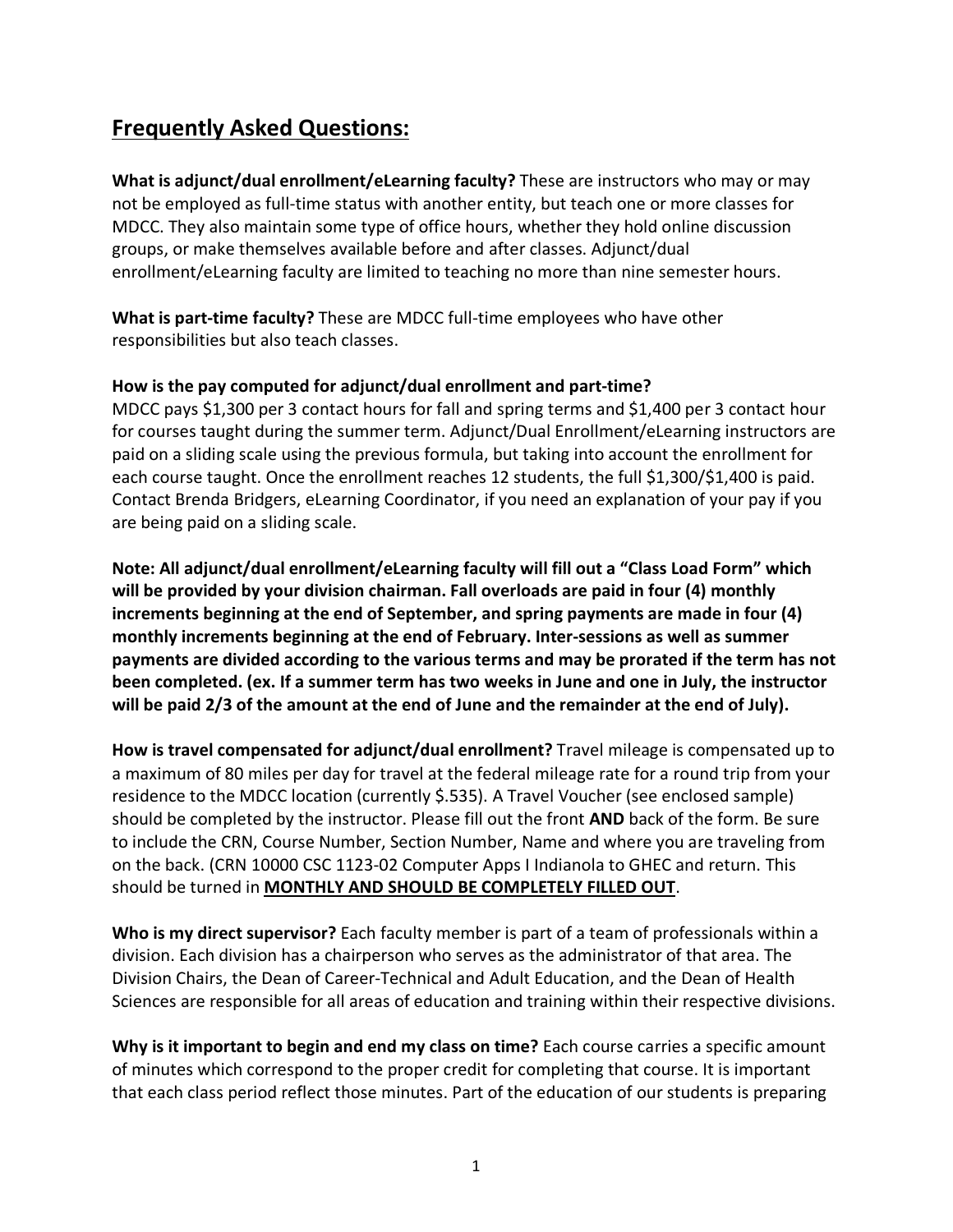## **Frequently Asked Questions:**

**What is adjunct/dual enrollment/eLearning faculty?** These are instructors who may or may not be employed as full-time status with another entity, but teach one or more classes for MDCC. They also maintain some type of office hours, whether they hold online discussion groups, or make themselves available before and after classes. Adjunct/dual enrollment/eLearning faculty are limited to teaching no more than nine semester hours.

**What is part-time faculty?** These are MDCC full-time employees who have other responsibilities but also teach classes.

## **How is the pay computed for adjunct/dual enrollment and part-time?**

MDCC pays \$1,300 per 3 contact hours for fall and spring terms and \$1,400 per 3 contact hour for courses taught during the summer term. Adjunct/Dual Enrollment/eLearning instructors are paid on a sliding scale using the previous formula, but taking into account the enrollment for each course taught. Once the enrollment reaches 12 students, the full \$1,300/\$1,400 is paid. Contact Brenda Bridgers, eLearning Coordinator, if you need an explanation of your pay if you are being paid on a sliding scale.

**Note: All adjunct/dual enrollment/eLearning faculty will fill out a "Class Load Form" which will be provided by your division chairman. Fall overloads are paid in four (4) monthly increments beginning at the end of September, and spring payments are made in four (4) monthly increments beginning at the end of February. Inter-sessions as well as summer payments are divided according to the various terms and may be prorated if the term has not been completed. (ex. If a summer term has two weeks in June and one in July, the instructor will be paid 2/3 of the amount at the end of June and the remainder at the end of July).**

**How is travel compensated for adjunct/dual enrollment?** Travel mileage is compensated up to a maximum of 80 miles per day for travel at the federal mileage rate for a round trip from your residence to the MDCC location (currently \$.535). A Travel Voucher (see enclosed sample) should be completed by the instructor. Please fill out the front **AND** back of the form. Be sure to include the CRN, Course Number, Section Number, Name and where you are traveling from on the back. (CRN 10000 CSC 1123-02 Computer Apps I Indianola to GHEC and return. This should be turned in **MONTHLY AND SHOULD BE COMPLETELY FILLED OUT**.

**Who is my direct supervisor?** Each faculty member is part of a team of professionals within a division. Each division has a chairperson who serves as the administrator of that area. The Division Chairs, the Dean of Career-Technical and Adult Education, and the Dean of Health Sciences are responsible for all areas of education and training within their respective divisions.

**Why is it important to begin and end my class on time?** Each course carries a specific amount of minutes which correspond to the proper credit for completing that course. It is important that each class period reflect those minutes. Part of the education of our students is preparing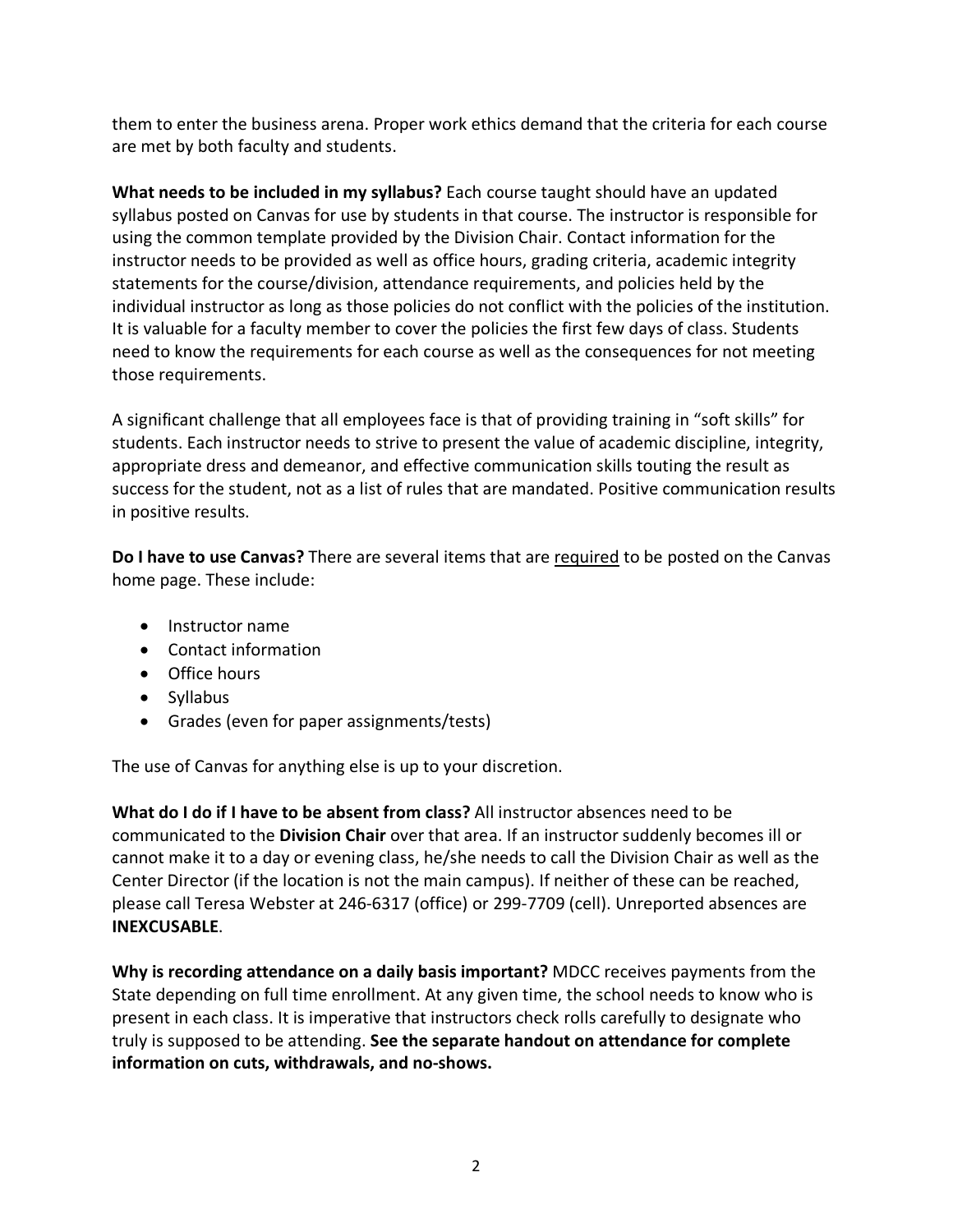them to enter the business arena. Proper work ethics demand that the criteria for each course are met by both faculty and students.

**What needs to be included in my syllabus?** Each course taught should have an updated syllabus posted on Canvas for use by students in that course. The instructor is responsible for using the common template provided by the Division Chair. Contact information for the instructor needs to be provided as well as office hours, grading criteria, academic integrity statements for the course/division, attendance requirements, and policies held by the individual instructor as long as those policies do not conflict with the policies of the institution. It is valuable for a faculty member to cover the policies the first few days of class. Students need to know the requirements for each course as well as the consequences for not meeting those requirements.

A significant challenge that all employees face is that of providing training in "soft skills" for students. Each instructor needs to strive to present the value of academic discipline, integrity, appropriate dress and demeanor, and effective communication skills touting the result as success for the student, not as a list of rules that are mandated. Positive communication results in positive results.

**Do I have to use Canvas?** There are several items that are required to be posted on the Canvas home page. These include:

- Instructor name
- Contact information
- Office hours
- Syllabus
- Grades (even for paper assignments/tests)

The use of Canvas for anything else is up to your discretion.

**What do I do if I have to be absent from class?** All instructor absences need to be communicated to the **Division Chair** over that area. If an instructor suddenly becomes ill or cannot make it to a day or evening class, he/she needs to call the Division Chair as well as the Center Director (if the location is not the main campus). If neither of these can be reached, please call Teresa Webster at 246-6317 (office) or 299-7709 (cell). Unreported absences are **INEXCUSABLE**.

**Why is recording attendance on a daily basis important?** MDCC receives payments from the State depending on full time enrollment. At any given time, the school needs to know who is present in each class. It is imperative that instructors check rolls carefully to designate who truly is supposed to be attending. **See the separate handout on attendance for complete information on cuts, withdrawals, and no-shows.**